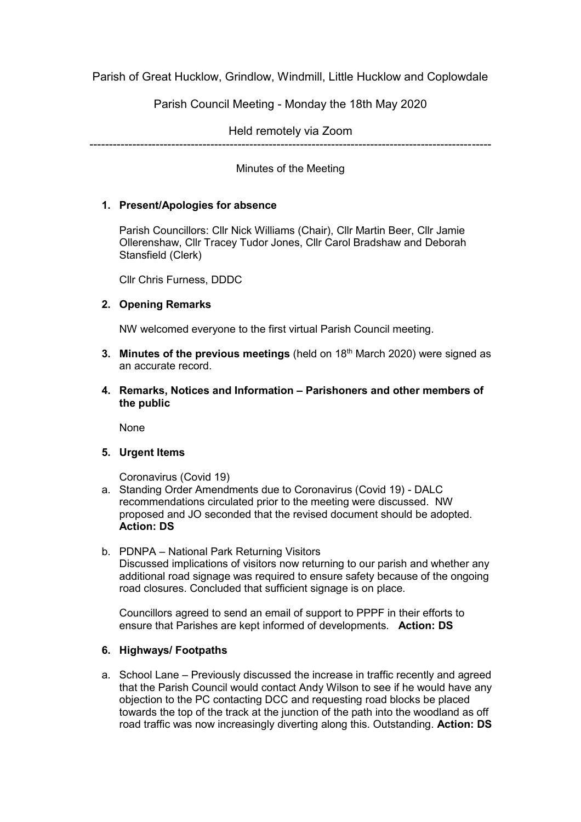Parish of Great Hucklow, Grindlow, Windmill, Little Hucklow and Coplowdale

Parish Council Meeting - Monday the 18th May 2020

Held remotely via Zoom

-------------------------------------------------------------------------------------------------------

Minutes of the Meeting

# **1. Present/Apologies for absence**

Parish Councillors: Cllr Nick Williams (Chair), Cllr Martin Beer, Cllr Jamie Ollerenshaw, Cllr Tracey Tudor Jones, Cllr Carol Bradshaw and Deborah Stansfield (Clerk)

Cllr Chris Furness, DDDC

### **2. Opening Remarks**

NW welcomed everyone to the first virtual Parish Council meeting.

- **3. Minutes of the previous meetings** (held on 18<sup>th</sup> March 2020) were signed as an accurate record.
- **4. Remarks, Notices and Information – Parishoners and other members of the public**

None

**5. Urgent Items**

Coronavirus (Covid 19)

- a. Standing Order Amendments due to Coronavirus (Covid 19) DALC recommendations circulated prior to the meeting were discussed. NW proposed and JO seconded that the revised document should be adopted. **Action: DS**
- b. PDNPA National Park Returning Visitors Discussed implications of visitors now returning to our parish and whether any additional road signage was required to ensure safety because of the ongoing road closures. Concluded that sufficient signage is on place.

Councillors agreed to send an email of support to PPPF in their efforts to ensure that Parishes are kept informed of developments. **Action: DS**

# **6. Highways/ Footpaths**

a. School Lane – Previously discussed the increase in traffic recently and agreed that the Parish Council would contact Andy Wilson to see if he would have any objection to the PC contacting DCC and requesting road blocks be placed towards the top of the track at the junction of the path into the woodland as off road traffic was now increasingly diverting along this. Outstanding. **Action: DS**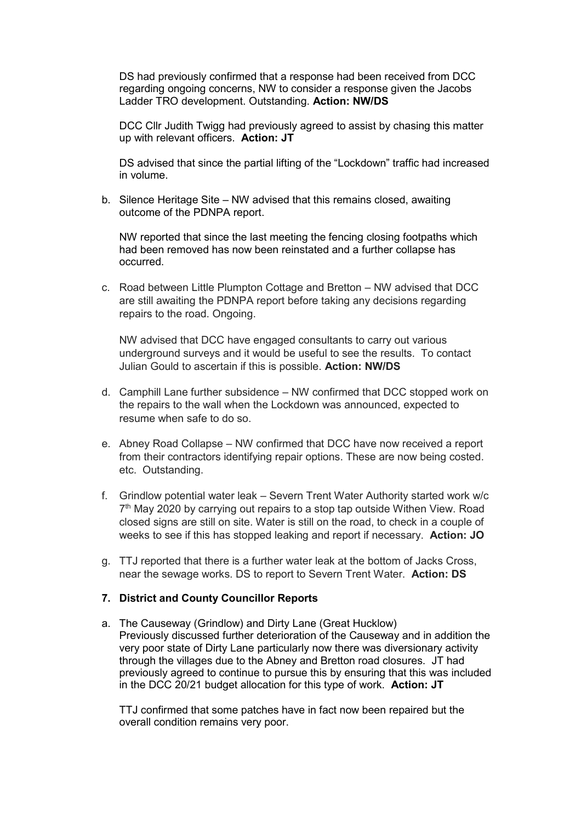DS had previously confirmed that a response had been received from DCC regarding ongoing concerns, NW to consider a response given the Jacobs Ladder TRO development. Outstanding. **Action: NW/DS**

DCC Cllr Judith Twigg had previously agreed to assist by chasing this matter up with relevant officers. **Action: JT**

DS advised that since the partial lifting of the "Lockdown" traffic had increased in volume.

b. Silence Heritage Site – NW advised that this remains closed, awaiting outcome of the PDNPA report.

NW reported that since the last meeting the fencing closing footpaths which had been removed has now been reinstated and a further collapse has occurred.

c. Road between Little Plumpton Cottage and Bretton – NW advised that DCC are still awaiting the PDNPA report before taking any decisions regarding repairs to the road. Ongoing.

NW advised that DCC have engaged consultants to carry out various underground surveys and it would be useful to see the results. To contact Julian Gould to ascertain if this is possible. **Action: NW/DS**

- d. Camphill Lane further subsidence NW confirmed that DCC stopped work on the repairs to the wall when the Lockdown was announced, expected to resume when safe to do so.
- e. Abney Road Collapse NW confirmed that DCC have now received a report from their contractors identifying repair options. These are now being costed. etc. Outstanding.
- f. Grindlow potential water leak Severn Trent Water Authority started work w/c 7<sup>th</sup> May 2020 by carrying out repairs to a stop tap outside Withen View. Road closed signs are still on site. Water is still on the road, to check in a couple of weeks to see if this has stopped leaking and report if necessary. **Action: JO**
- g. TTJ reported that there is a further water leak at the bottom of Jacks Cross, near the sewage works. DS to report to Severn Trent Water. **Action: DS**

#### **7. District and County Councillor Reports**

a. The Causeway (Grindlow) and Dirty Lane (Great Hucklow) Previously discussed further deterioration of the Causeway and in addition the very poor state of Dirty Lane particularly now there was diversionary activity through the villages due to the Abney and Bretton road closures. JT had previously agreed to continue to pursue this by ensuring that this was included in the DCC 20/21 budget allocation for this type of work. **Action: JT**

TTJ confirmed that some patches have in fact now been repaired but the overall condition remains very poor.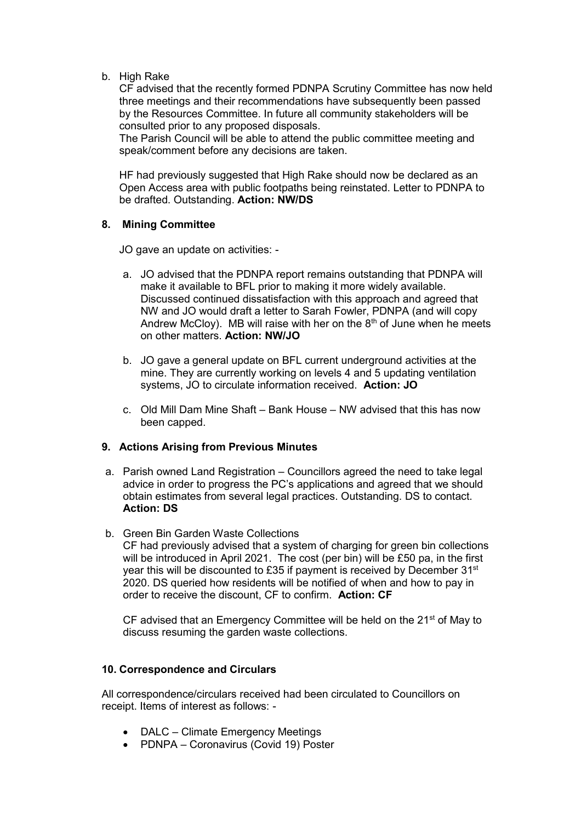b. High Rake

CF advised that the recently formed PDNPA Scrutiny Committee has now held three meetings and their recommendations have subsequently been passed by the Resources Committee. In future all community stakeholders will be consulted prior to any proposed disposals.

The Parish Council will be able to attend the public committee meeting and speak/comment before any decisions are taken.

HF had previously suggested that High Rake should now be declared as an Open Access area with public footpaths being reinstated. Letter to PDNPA to be drafted. Outstanding. **Action: NW/DS**

#### **8. Mining Committee**

JO gave an update on activities: -

- a. JO advised that the PDNPA report remains outstanding that PDNPA will make it available to BFL prior to making it more widely available. Discussed continued dissatisfaction with this approach and agreed that NW and JO would draft a letter to Sarah Fowler, PDNPA (and will copy Andrew McCloy). MB will raise with her on the  $8<sup>th</sup>$  of June when he meets on other matters. **Action: NW/JO**
- b. JO gave a general update on BFL current underground activities at the mine. They are currently working on levels 4 and 5 updating ventilation systems, JO to circulate information received. **Action: JO**
- c. Old Mill Dam Mine Shaft Bank House NW advised that this has now been capped.

#### **9. Actions Arising from Previous Minutes**

- a. Parish owned Land Registration Councillors agreed the need to take legal advice in order to progress the PC's applications and agreed that we should obtain estimates from several legal practices. Outstanding. DS to contact. **Action: DS**
- b. Green Bin Garden Waste Collections CF had previously advised that a system of charging for green bin collections will be introduced in April 2021. The cost (per bin) will be £50 pa, in the first year this will be discounted to £35 if payment is received by December 31<sup>st</sup> 2020. DS queried how residents will be notified of when and how to pay in order to receive the discount, CF to confirm. **Action: CF**

CF advised that an Emergency Committee will be held on the 21<sup>st</sup> of May to discuss resuming the garden waste collections.

#### **10. Correspondence and Circulars**

All correspondence/circulars received had been circulated to Councillors on receipt. Items of interest as follows: -

- DALC Climate Emergency Meetings
- PDNPA Coronavirus (Covid 19) Poster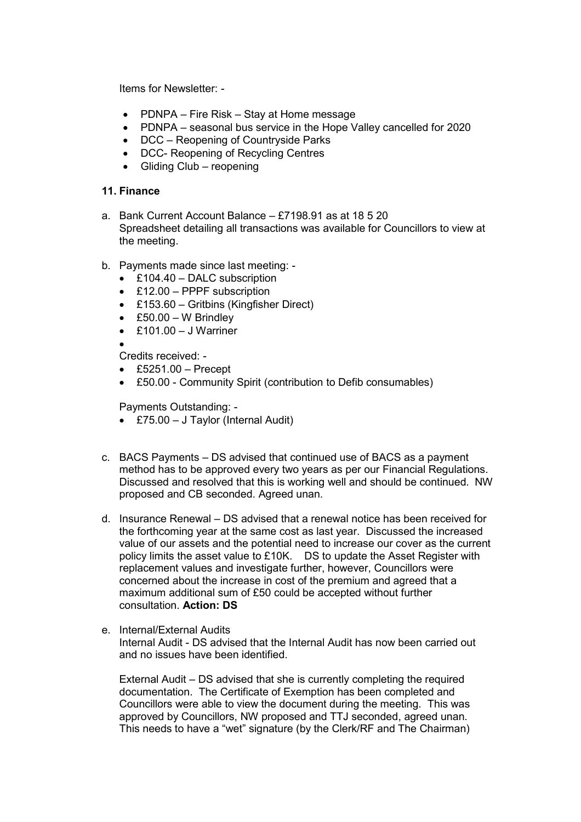Items for Newsletter: -

- PDNPA Fire Risk Stay at Home message
- PDNPA seasonal bus service in the Hope Valley cancelled for 2020
- DCC Reopening of Countryside Parks
- DCC- Reopening of Recycling Centres
- Gliding Club reopening

### **11. Finance**

- a. Bank Current Account Balance £7198.91 as at 18 5 20 Spreadsheet detailing all transactions was available for Councillors to view at the meeting.
- b. Payments made since last meeting:
	- £104.40 DALC subscription
	- £12.00 PPPF subscription
	- £153.60 Gritbins (Kingfisher Direct)
	- £50.00 W Brindley
	- $\cdot$  £101.00 J Warriner

 $\bullet$ 

- Credits received: -
- $\textdegree$  £5251.00 Precept
- £50.00 Community Spirit (contribution to Defib consumables)

Payments Outstanding: -

- £75.00 J Taylor (Internal Audit)
- c. BACS Payments DS advised that continued use of BACS as a payment method has to be approved every two years as per our Financial Regulations. Discussed and resolved that this is working well and should be continued. NW proposed and CB seconded. Agreed unan.
- d. Insurance Renewal DS advised that a renewal notice has been received for the forthcoming year at the same cost as last year. Discussed the increased value of our assets and the potential need to increase our cover as the current policy limits the asset value to £10K. DS to update the Asset Register with replacement values and investigate further, however, Councillors were concerned about the increase in cost of the premium and agreed that a maximum additional sum of £50 could be accepted without further consultation. **Action: DS**
- e. Internal/External Audits Internal Audit - DS advised that the Internal Audit has now been carried out and no issues have been identified.

External Audit – DS advised that she is currently completing the required documentation. The Certificate of Exemption has been completed and Councillors were able to view the document during the meeting. This was approved by Councillors, NW proposed and TTJ seconded, agreed unan. This needs to have a "wet" signature (by the Clerk/RF and The Chairman)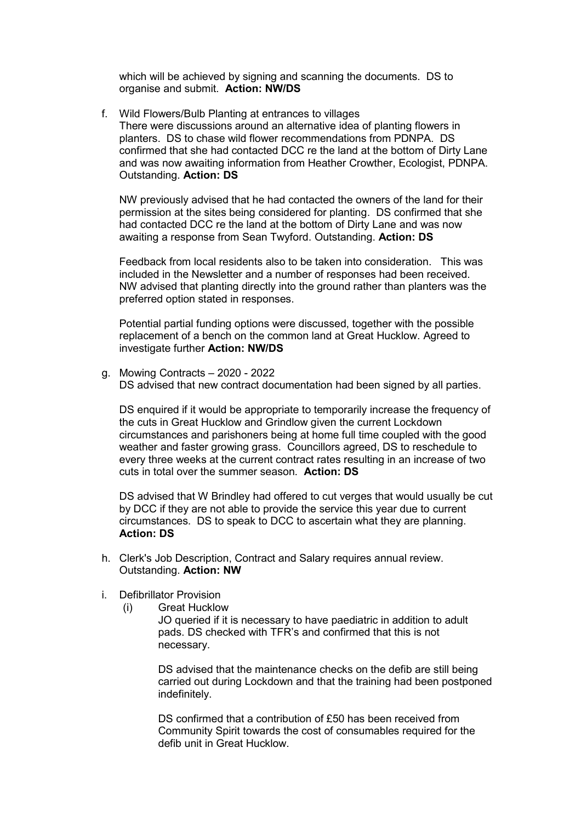which will be achieved by signing and scanning the documents. DS to organise and submit. **Action: NW/DS**

f. Wild Flowers/Bulb Planting at entrances to villages There were discussions around an alternative idea of planting flowers in planters. DS to chase wild flower recommendations from PDNPA. DS confirmed that she had contacted DCC re the land at the bottom of Dirty Lane and was now awaiting information from Heather Crowther, Ecologist, PDNPA. Outstanding. **Action: DS**

NW previously advised that he had contacted the owners of the land for their permission at the sites being considered for planting. DS confirmed that she had contacted DCC re the land at the bottom of Dirty Lane and was now awaiting a response from Sean Twyford. Outstanding. **Action: DS**

Feedback from local residents also to be taken into consideration. This was included in the Newsletter and a number of responses had been received. NW advised that planting directly into the ground rather than planters was the preferred option stated in responses.

Potential partial funding options were discussed, together with the possible replacement of a bench on the common land at Great Hucklow. Agreed to investigate further **Action: NW/DS** 

g. Mowing Contracts – 2020 - 2022 DS advised that new contract documentation had been signed by all parties.

DS enquired if it would be appropriate to temporarily increase the frequency of the cuts in Great Hucklow and Grindlow given the current Lockdown circumstances and parishoners being at home full time coupled with the good weather and faster growing grass. Councillors agreed, DS to reschedule to every three weeks at the current contract rates resulting in an increase of two cuts in total over the summer season. **Action: DS**

DS advised that W Brindley had offered to cut verges that would usually be cut by DCC if they are not able to provide the service this year due to current circumstances. DS to speak to DCC to ascertain what they are planning. **Action: DS**

- h. Clerk's Job Description, Contract and Salary requires annual review. Outstanding. **Action: NW**
- i. Defibrillator Provision
	- (i) Great Hucklow

JO queried if it is necessary to have paediatric in addition to adult pads. DS checked with TFR's and confirmed that this is not necessary.

DS advised that the maintenance checks on the defib are still being carried out during Lockdown and that the training had been postponed indefinitely.

DS confirmed that a contribution of £50 has been received from Community Spirit towards the cost of consumables required for the defib unit in Great Hucklow.